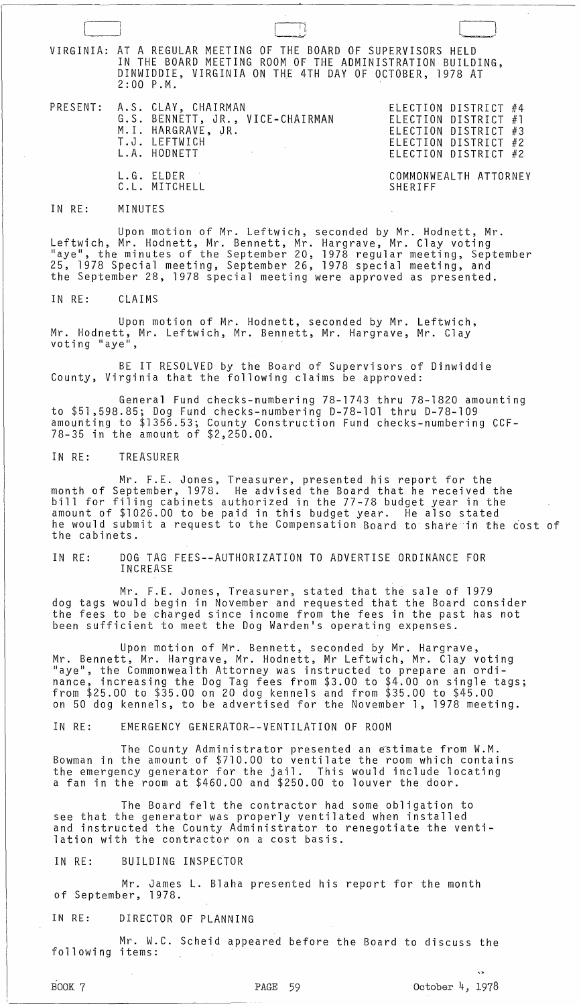VIRGINIA: AT A REGULAR MEETING OF THE BOARD OF SUPERVISORS HELD IN THE BOARD MEETING ROOM OF THE ADMINISTRATION BUILDING, DINWIDDIE, VIRGINIA ON THE 4TH DAY OF OCTOBER, 1978 AT 2:00 P.M.

- G.S. BENNETT, JR., VICE-CHAIRMAN M. I. HARGRAVE, JR. T.J. LEFTWICH L. A. HODNETT
- L.G. ELDER C. L. MITCHELL

PRESENT: A.S. CLAY, CHAIRMAN ELECTION DISTRICT #4 ELECTION DISTRICT #1 ELECTION DISTRICT #3 ELECTION DISTRICT #2 ELECTION DISTRICT #2

> COMMONWEALTH ATTORNEY SHERIFF

#### IN RE: MINUTES

Upon motion of Mr. Leftwich, seconded by Mr. Hodnett, Mr. Leftwich, Mr. Hodnett, Mr. Bennett, Mr. Hargrave, Mr. Clay voting<br>"aye", the minutes of the September 20, 1978 regular meeting, September 25, 1978 Special meeting, September 26, 1978 special meeting, and the September 28, 1978 special meeting were approved as presented.

IN RE: CLAIMS

Upon motion of Mr. Hodnett, seconded by Mr. Leftwich, Mr. Hodnett, Mr. Leftwich, Mr. Bennett, Mr. Hargrave, Mr. Clay<br>voting "aye",

BE IT RESOLVED by the Board of Supervisors of Dinwiddie County, Virginia that the following claims be approved:

General Fund checks-numbering 78-1743 thru 78-1820 amounting to \$51,598.85; Dog Fund checks-numbering D-78-l0l thru D-78-l09 amounting to \$1356.53; County Construction Fund checks-numbering CCF-78-35 in the amount of \$2,250.00.

IN RE: TREASURER

Mr. F.E. Jones, Treasurer, presented his report for the month of September, 1978. He advised the Board that he received the bill for filing cabinets authorized in the 77-78 budget year in the amount of \$1026.00 to be paid in this budget year. He also stated he would submit a request to the Compensation Board to share in the cost of the cabinets.

IN RE: DOG TAG FEES--AUTHORIZATION TO ADVERTISE ORDINANCE FOR INCREASE

Mr. F.E. Jones, Treasurer, stated that the sale of 1979 dog tags would begin in November and requested that the Board consider the fees to be charged since income from the fees in the past has not been sufficient to meet the Dog Warden's operating expenses.

Upon motion of Mr. Bennett, seconded by Mr. Hargrave, Mr. Bennett, Mr. Hargrave, Mr. Hodnett, Mr Leftwich, Mr. Clay voting "aye", the Commonwealth Attorney was instructed to prepare an ordinance, increasing the Dog Tag fees from \$3.00 to \$4.00 on single tags; from \$25.00 to \$35.00 on 20 dog kennels and from \$35.00 to \$45.00 on 50 dog kennels, to be advertised for the November 1, 1978 meeting.

IN RE: EMERGENCY GENERATOR--VENTILATION OF ROOM

The County Administrator presented an estimate from W.M. Bowman in the amount of \$710.00 to ventilate the room which contains the emergency generator for the jail. This would include locating a fan in the room at \$460.00 and \$250.00 to louver the door.

The Board felt the contractor had some obligation to see that the generator was properly ventilated when installed and instructed the County Administrator to renegotiate the ventilation with the contractor on a cost basis.

## IN RE: BUILDING INSPECTOR

Mr. James L. Blaha presented his report for the month of September, 1978.

IN RE: DIRECTOR OF PLANNING

Mr. W.C. Scheid appeared before the Board to discuss the following items:

 $\sqrt{2}$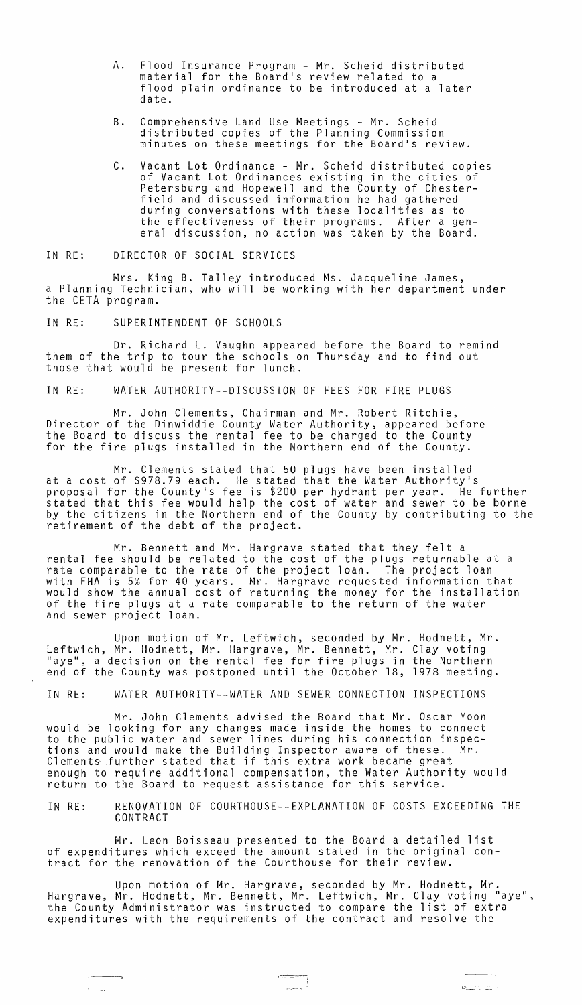- A. Flood Insurance Program Mr. Scheid distributed material for the Board's review related to a flood plain ordinance to be introduced at a later date.
- B. Comprehensive Land Use Meetings Mr. Scheid distributed copies of the Planning Commission minutes on these meetings for the Board's review.
- C. Vacant Lot Ordinance Mr. Scheid distributed copies of Vacant Lot Ordinances existing in the cities of Petersburg and Hopewell and the County of Chesterfield and discussed information he had gathered during conversations with these localities as to the effectiveness of their programs. After a general discussion, no action was taken by the Board.

IN RE: DIRECTOR OF SOCIAL SERVICES

Mrs. King B. Talley introduced Ms. Jacqueline James, a Planning Technician, who will be working with her department under the CETA program.

IN RE: SUPERINTENDENT OF SCHOOLS

Dr. Richard **L.** Vaughn appeared before the Board to remind them of the trip to tour the schools on Thursday and to find out those that would be present for lunch.

IN RE: WATER AUTHORITY--DISCUSSION OF FEES FOR FIRE PLUGS

Mr. John Clements, Chairman and Mr. Robert Ritchie, Director of the Dinwiddie County Water Authority, appeared before the Board to discuss the rental fee to be charged to the County for the fire plugs installed in the Northern end of the County.

Mr. Clements stated that 50 plugs have been installed at a cost of \$978.79 each. He stated that the Water Authority's proposal for the County's fee is \$200 per hydrant per year. He further stated that this fee would help the cost of water and sewer to be borne by the citizens in the Northern end of the County by contributing to the retirement of the debt of the project.

Mr. Bennett and Mr. Hargrave stated that they felt a rental fee should be related to the cost of the plugs returnable at a rate comparable to the rate of the project loan. The project loan with FHA is 5% for 40 years. Mr. Hargrave requested information that would show the annual cost of returning the money for the installation of the fire plugs at a rate comparable to the return of the water and sewer project loan.

Upon motion of Mr. Leftwich, seconded by Mr. Hodnett, Mr. Leftwich, Mr. Hodnett, Mr. Hargrave, Mr. Bennett, Mr. Clay voting "aye", a decision on the rental fee for fire plugs in the Northern end of the County was postponed until the October 18, 1978 meeting.

IN RE: WATER AUTHORITY--WATER AND SEWER CONNECTION INSPECTIONS

Mr. John Clements advised the Board that Mr. Oscar Moon would be looking for any changes made inside the homes to connect to the public water and sewer lines during his connection inspections and would make the Building Inspector aware of these. Mr. Clements further stated that if this extra work became great enough to require additional compensation, the Water Authority would return to the Board to request assistance for this service.

IN RE: RENOVATION OF COURTHOUSE--EXPLANATION OF COSTS EXCEEDING THE CONTRACT

Mr. Leon Boisseau presented to the Board a detailed list of expenditures which exceed the amount stated in the original contract for the renovation of the Courthouse for their review.

Upon motion of Mr. Hargrave, seconded by Mr. Hodnett, Mr. Hargrave, Mr. Hodnett, Mr. Bennett, Mr. Leftwich, Mr. Clay voting "aye", the County Administrator was instructed to compare the list of extra expenditures with the requirements of the contract and resolve the

 $\bigcap_{n=1}$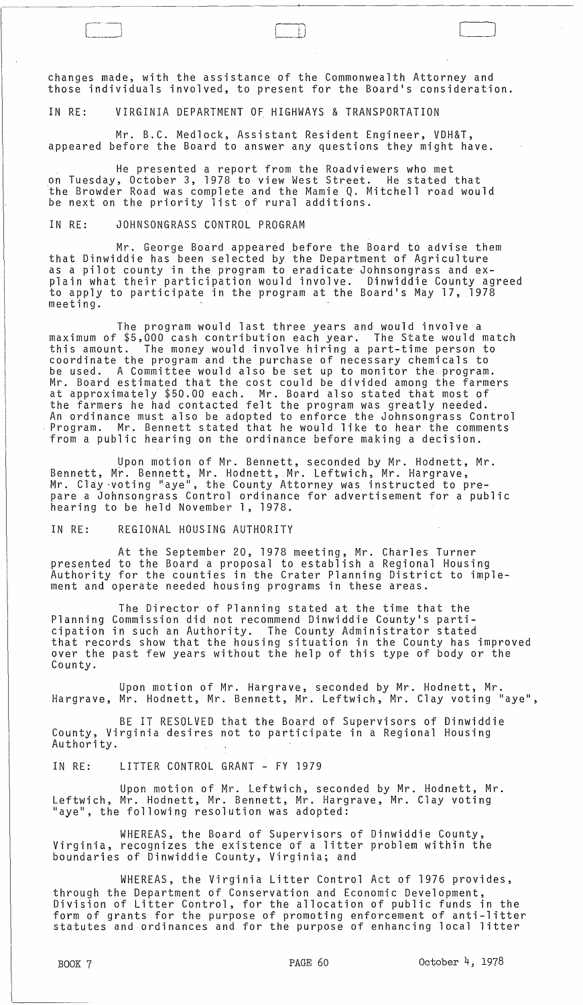changes made, with the assistance of the Commonwealth Attorney and those individuals involved, to present for the Board's consideration.

 $\Box$ 

 $\Box$ 

IN RE: VIRGINIA DEPARTMENT OF HIGHWAYS & TRANSPORTATION

Mr. B.C. Medlock, Assistant Resident Engineer, VDH&T, appeared before the Board to answer any questions they might have.

He presented a report from the Roadviewers who met on Tuesday, October 3, 1978 to view West Street. He stated that 'the Browder Road was complete and the Mamie Q. Mitchell road would be next on the priority list of rural additions.

IN RE: JOHNSONGRASS CONTROL PROGRAM

Mr. George Board appeared before the Board to advise them that Dinwiddie has been selected by the Department of Agriculture as a pilot county in the program to eradicate Johnsongrass and explain what their participation would involve. Dinwiddie County agreed to apply to participate in the program at the Board's May 17, 1978 meeting.

The program would last three years and would involve a maximum of \$5,000 cash contribution each year. The State would match this amount. The money would involve hiring a part-time person to coordinate the program and the purchase of necessary chemicals to be used. A Committee would also be set up to monitor the program. Mr. Board estimated that the cost could be divided among the farmers at approximately \$50.00 each. Mr. Board also stated that most of the farmers he had contacted felt the program was greatly needed. An ordinance must also be adopted to enforce the Johnsongrass Control Program. Mr. Bennett stated that he would like to hear the comments from a public hearing on the ordinance before making a decision.

Upon motion of Mr. Bennett, seconded by Mr. Hodnett, Mr. Bennett, Mr. Bennett, Mr. Hodnett, Mr. Leftwich, Mr. Hargrave, Mr. Clay-voting "aye", the County Attorney was instructed to prepare a Johnsongrass Control ordinance for advertisement for a public<br>hearing to be held November 1, 1978.

IN RE: REGIONAL HOUSING AUTHORITY

At the September 20, 1978 meeting, Mr. Charles Turner presented to the Board a proposal to establish a Regional Housing Authority for the counties in the Crater Planning District to implement and operate needed housing programs in these areas.

The Director of Planning stated at the time that the Planning Commission did not recommend Dinwiddie County's participation in such an Authority. The County Administrator stated that records show that the housing situation in the County has improved over the past few years without the help of this type of body or the County.

Upon motion of Mr. Hargrave, seconded by Mr. Hodnett, Mr. Hargrave, Mr. Hodnett, Mr. Bennett, Mr. Leftwich, Mr. Clay voting "aye",

BE IT RESOLVED that the Board of Supervisors of Dinwiddie County, Virginia desires not to participate in a Regional Housing Authority.

IN RE: LITTER CONTROL GRANT - FY 1979

Upon motion of Mr. Leftwich, seconded by Mr. Hodnett, Mr. Leftwich, Mr. Hodnett, Mr. Bennett, Mr. Hargrave, Mr. Clay voting "aye", the following resolution was adopted:

WHEREAS, the Board of Supervisors of Dinwiddie County, Virginia, recognizes the existence of a litter problem within the boundaries of Dinwiddie County, Virginia; and

WHEREAS, the Virginia Litter Control Act of 1976 provides, through the Department of Conservation and Economic Development, Division of Litter Control, for the allocation of public funds in the form of grants for the purpose of promoting enforcement of anti-litter statutes and ordinances and for the purpose of enhancing local litter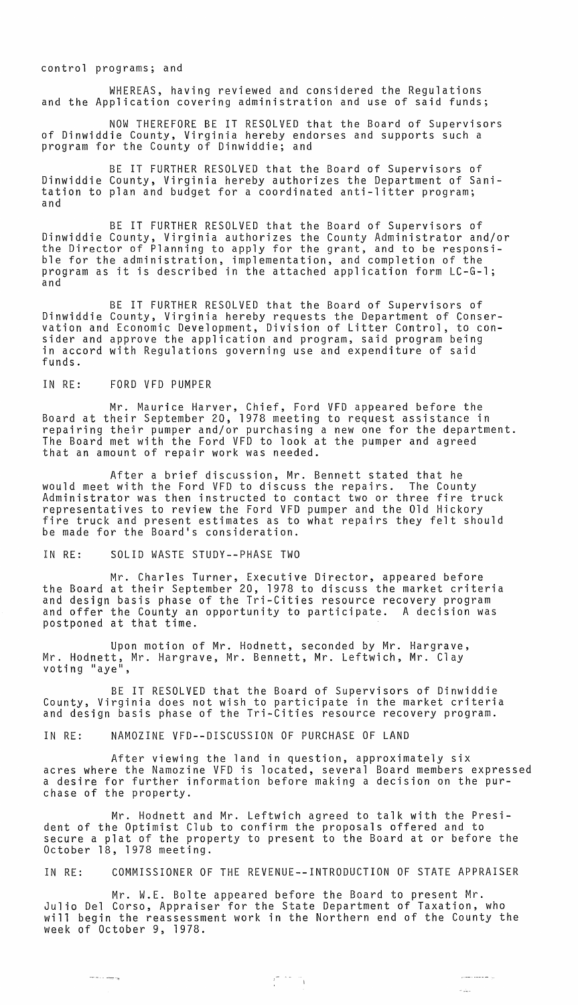control programs; and

WHEREAS, having reviewed and considered the Regulations and the Application covering administration and use of said funds;

NOW THEREFORE BE IT RESOLVED that the Board of Supervisors of Dinwiddie County, Virginia hereby endorses and supports such a program for the County of Dinwiddie; and

BE IT FURTHER RESOLVED that the Board of Supervisors of Dinwiddie County, Virginia hereby authorizes the Department of Sanitation to plan and budget for a coordinated anti-litter program; and

BE IT FURTHER RESOLVED that the Board of Supervisors of Dinwiddie County, Virginia authorizes the County Administrator and/or the Director of Planning to apply for the grant, and to be responsible for the administration, implementation, and completion of the program as it is described in the attached application form LC-G-1; and

BE IT FURTHER RESOLVED that the Board of Supervisors of Dinwiddie County, Virginia hereby requests the Department of Conservation and Economic Development, Division of Litter Control, to consider and approve the application and program, said program being in accord with Regulations governing use and expenditure of said funds.

#### IN RE: FORD VFD PUMPER

 $\cdots \cdots \cdots \cdots$ 

Mr. Maurice Harver, Chief, Ford VFD appeared before the Board at their September 20, 1978 meeting to request assistance in repairing their pumper and/or purchasing a new one for the department. The Board met with the Ford VFD to look at the pumper and agreed that an amount of repair work was needed.

After a brief discussion, Mr. Bennett stated that he would meet with the Ford VFD to discuss the repairs. The County Administrator was then instructed to contact two or three fire truck<br>representatives to review the Ford VFD pumper and the Old Hickory fire truck and present estimates as to what repairs they felt should be made for the Board's consideration.

## IN RE: SOLID WASTE STUDY--PHASE TWO

Mr. Charles Turner, Executive Director, appeared before the Board at their September 20, 1978 to discuss the market criteria and design basis phase of the Tri-Cities resource recovery program and offer the County an opportunity to participate. A decision was postponed at that time.

Upon motion of Mr. Hodnett, seconded by Mr. Hargrave, Mr. Hodnett, Mr. Hargrave, Mr. Bennett, Mr. Leftwich, Mr. Clay<br>voting "aye",

BE IT RESOLVED that the Board of Supervisors of Dinwiddie County, Virginia does not wish to participate in the market criteria and design basis phase of the Tri-Cities resource recovery program.

IN RE: NAMOZINE VFD--DISCUSSION OF PURCHASE OF LAND

After viewing the land in question, approximately six acres where the Namozine VFD is located, several Board members expressed a desire for further information before making a decision on the purchase of the property.

Mr. Hodnett and Mr. Leftwich agreed to talk with the President of the Optimist Club to confirm the proposals offered and to secure a plat of the property to present to the Board at or before the October 18, 1978 meeting.

IN RE: COMMISSIONER OF THE REVENUE--INTRODUCTION OF STATE APPRAISER

Mr. W.E. Bolte appeared before the Board to present Mr. Julio Del Corso, Appraiser for the State Department of Taxation, who will begin the reassessment work in the Northern end of the County the week of October 9, 1978.

أأرب المستحقق والمصابر

 $\sim 10^{11}$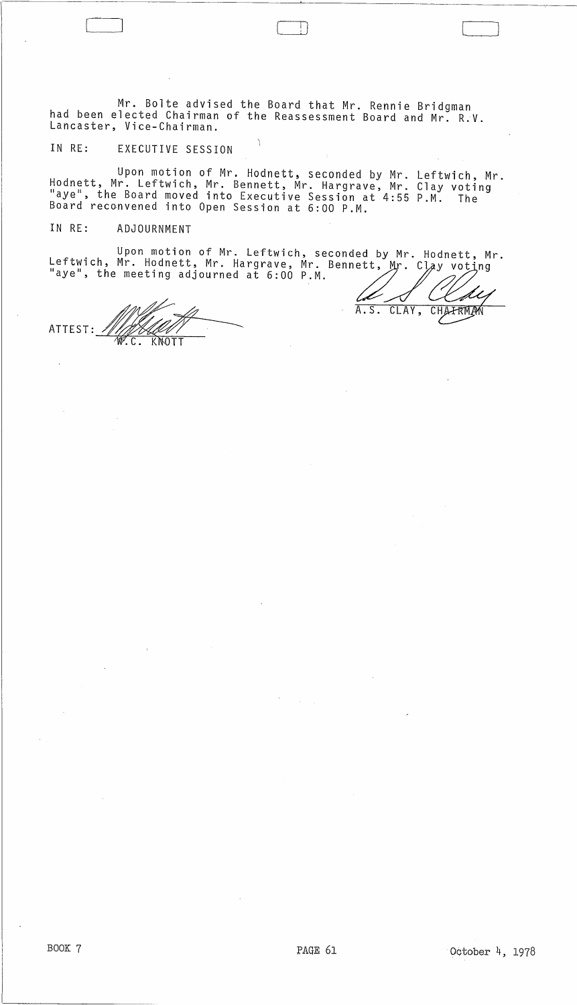Mr. Bolte advised the Board that Mr. Rennie Bridgman had been elected Chairman of the Reassessment Board and Mr. R.V. Lancaster, Vice-Chairman.

,

 $\Box$ 

# IN RE: EXECUTIVE SESSION

Upon motion of Mr. Hodnett, seconded by Mr. Leftwich, Mr. Hodnett, Mr. Leftwich, Mr. Bennett, Mr. Hargrave, Mr. Clay voting "aye", the Board moved into Executive Session at 4:55 P.M. The Board recGnvened into Open Session at 6:00 P.M.

# IN RE: ADJOURNMENT

Upon motion of Mr. Leftwich, seconded by Mr. Hodnett, Mr. Leftwich, Mr. Hodnett, Mr. Hargrave, Mr. Bennett, Mr. Clay voting<br>"aye", the meeting adjourned at 6:00 P.M. Upon motion of Mr. Leftwich, seconded by Mr. Hod, Mr. Hodnett, Mr. Hargrave, Mr. Bennett, Mr. Clay<br>he meeting adjourned at 6:00 P.M.<br>A.S. CLAY, CH<br>W.C. KNOTT

ATTEST:~· KNOTT

]